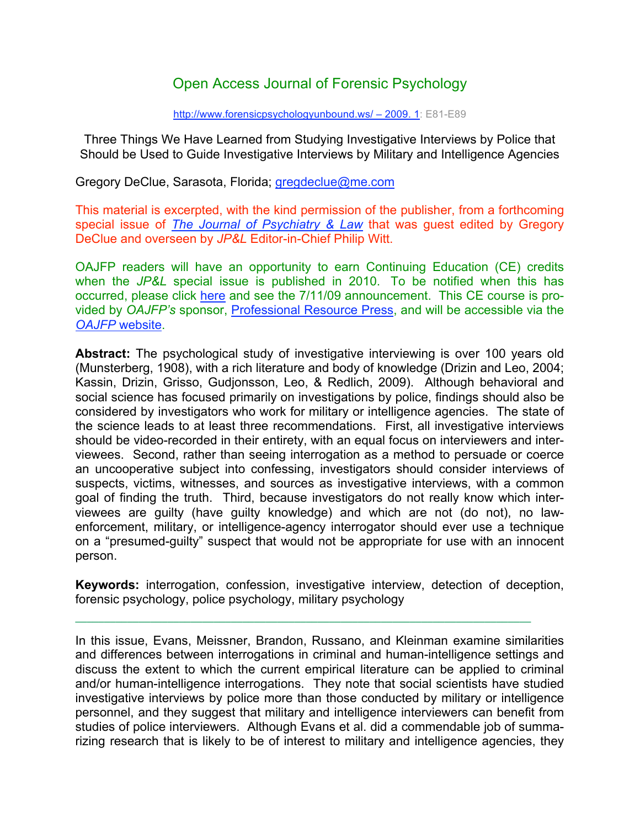# Open Access Journal of Forensic Psychology

#### http://www.forensicpsychologyunbound.ws/ – 2009. 1: E81-E89

Three Things We Have Learned from Studying Investigative Interviews by Police that Should be Used to Guide Investigative Interviews by Military and Intelligence Agencies

Gregory DeClue, Sarasota, Florida; *gregdeclue@me.com* 

This material is excerpted, with the kind permission of the publisher, from a forthcoming special issue of *The Journal of Psychiatry & Law* that was guest edited by Gregory DeClue and overseen by *JP&L* Editor-in-Chief Philip Witt.

OAJFP readers will have an opportunity to earn Continuing Education (CE) credits when the *JP&L* special issue is published in 2010. To be notified when this has occurred, please click here and see the 7/11/09 announcement. This CE course is provided by *OAJFP's* sponsor, Professional Resource Press, and will be accessible via the *OAJFP* website.

**Abstract:** The psychological study of investigative interviewing is over 100 years old (Munsterberg, 1908), with a rich literature and body of knowledge (Drizin and Leo, 2004; Kassin, Drizin, Grisso, Gudjonsson, Leo, & Redlich, 2009). Although behavioral and social science has focused primarily on investigations by police, findings should also be considered by investigators who work for military or intelligence agencies. The state of the science leads to at least three recommendations. First, all investigative interviews should be video-recorded in their entirety, with an equal focus on interviewers and interviewees. Second, rather than seeing interrogation as a method to persuade or coerce an uncooperative subject into confessing, investigators should consider interviews of suspects, victims, witnesses, and sources as investigative interviews, with a common goal of finding the truth. Third, because investigators do not really know which interviewees are guilty (have guilty knowledge) and which are not (do not), no lawenforcement, military, or intelligence-agency interrogator should ever use a technique on a "presumed-guilty" suspect that would not be appropriate for use with an innocent person.

**Keywords:** interrogation, confession, investigative interview, detection of deception, forensic psychology, police psychology, military psychology

In this issue, Evans, Meissner, Brandon, Russano, and Kleinman examine similarities and differences between interrogations in criminal and human-intelligence settings and discuss the extent to which the current empirical literature can be applied to criminal and/or human-intelligence interrogations. They note that social scientists have studied investigative interviews by police more than those conducted by military or intelligence personnel, and they suggest that military and intelligence interviewers can benefit from studies of police interviewers. Although Evans et al. did a commendable job of summarizing research that is likely to be of interest to military and intelligence agencies, they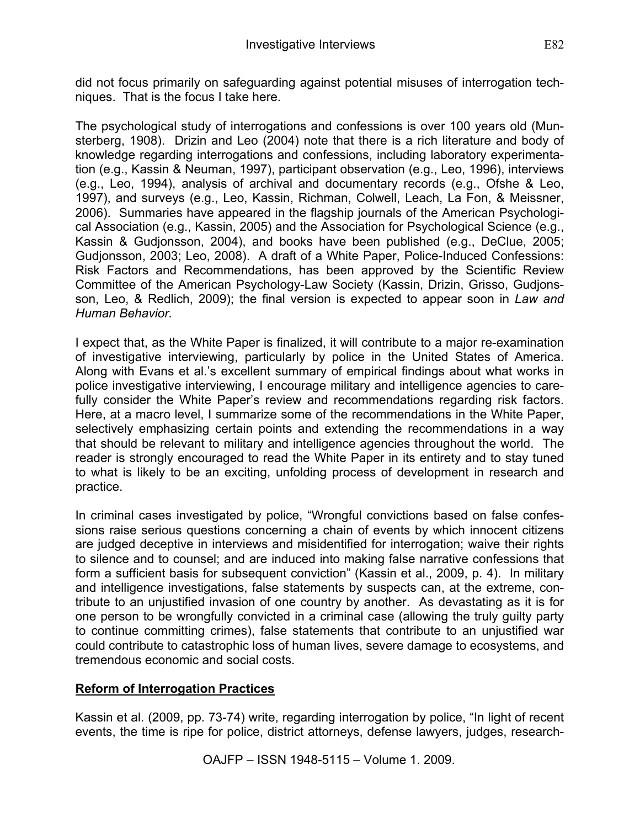did not focus primarily on safeguarding against potential misuses of interrogation techniques. That is the focus I take here.

The psychological study of interrogations and confessions is over 100 years old (Munsterberg, 1908). Drizin and Leo (2004) note that there is a rich literature and body of knowledge regarding interrogations and confessions, including laboratory experimentation (e.g., Kassin & Neuman, 1997), participant observation (e.g., Leo, 1996), interviews (e.g., Leo, 1994), analysis of archival and documentary records (e.g., Ofshe & Leo, 1997), and surveys (e.g., Leo, Kassin, Richman, Colwell, Leach, La Fon, & Meissner, 2006). Summaries have appeared in the flagship journals of the American Psychological Association (e.g., Kassin, 2005) and the Association for Psychological Science (e.g., Kassin & Gudjonsson, 2004), and books have been published (e.g., DeClue, 2005; Gudjonsson, 2003; Leo, 2008). A draft of a White Paper, Police-Induced Confessions: Risk Factors and Recommendations, has been approved by the Scientific Review Committee of the American Psychology-Law Society (Kassin, Drizin, Grisso, Gudjonsson, Leo, & Redlich, 2009); the final version is expected to appear soon in *Law and Human Behavior.*

I expect that, as the White Paper is finalized, it will contribute to a major re-examination of investigative interviewing, particularly by police in the United States of America. Along with Evans et al.'s excellent summary of empirical findings about what works in police investigative interviewing, I encourage military and intelligence agencies to carefully consider the White Paper's review and recommendations regarding risk factors. Here, at a macro level, I summarize some of the recommendations in the White Paper, selectively emphasizing certain points and extending the recommendations in a way that should be relevant to military and intelligence agencies throughout the world. The reader is strongly encouraged to read the White Paper in its entirety and to stay tuned to what is likely to be an exciting, unfolding process of development in research and practice.

In criminal cases investigated by police, "Wrongful convictions based on false confessions raise serious questions concerning a chain of events by which innocent citizens are judged deceptive in interviews and misidentified for interrogation; waive their rights to silence and to counsel; and are induced into making false narrative confessions that form a sufficient basis for subsequent conviction" (Kassin et al., 2009, p. 4). In military and intelligence investigations, false statements by suspects can, at the extreme, contribute to an unjustified invasion of one country by another. As devastating as it is for one person to be wrongfully convicted in a criminal case (allowing the truly guilty party to continue committing crimes), false statements that contribute to an unjustified war could contribute to catastrophic loss of human lives, severe damage to ecosystems, and tremendous economic and social costs.

## **Reform of Interrogation Practices**

Kassin et al. (2009, pp. 73-74) write, regarding interrogation by police, "In light of recent events, the time is ripe for police, district attorneys, defense lawyers, judges, research-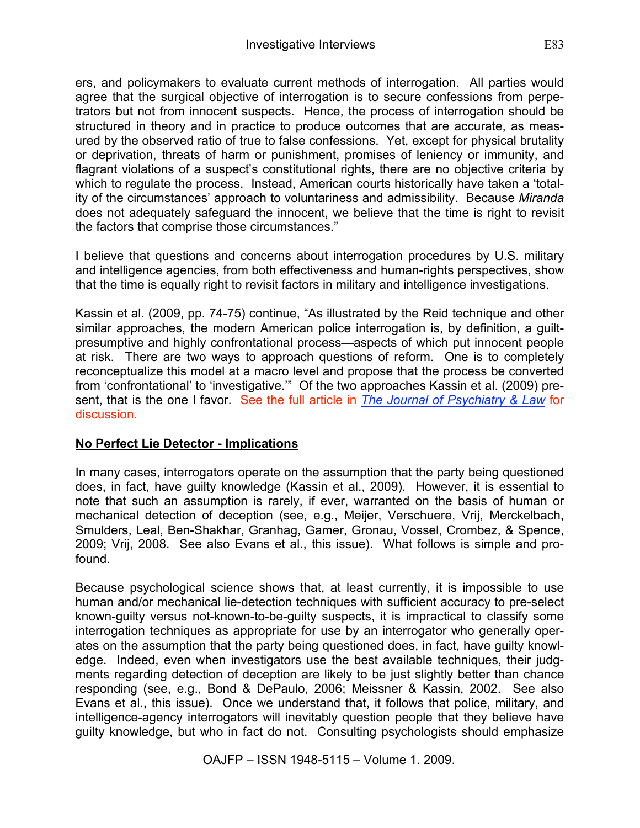ers, and policymakers to evaluate current methods of interrogation. All parties would agree that the surgical objective of interrogation is to secure confessions from perpetrators but not from innocent suspects. Hence, the process of interrogation should be structured in theory and in practice to produce outcomes that are accurate, as measured by the observed ratio of true to false confessions. Yet, except for physical brutality or deprivation, threats of harm or punishment, promises of leniency or immunity, and flagrant violations of a suspect's constitutional rights, there are no objective criteria by which to regulate the process. Instead, American courts historically have taken a 'totality of the circumstances' approach to voluntariness and admissibility. Because *Miranda* does not adequately safeguard the innocent, we believe that the time is right to revisit the factors that comprise those circumstances."

I believe that questions and concerns about interrogation procedures by U.S. military and intelligence agencies, from both effectiveness and human-rights perspectives, show that the time is equally right to revisit factors in military and intelligence investigations.

Kassin et al. (2009, pp. 74-75) continue, "As illustrated by the Reid technique and other similar approaches, the modern American police interrogation is, by definition, a guiltpresumptive and highly confrontational process—aspects of which put innocent people at risk. There are two ways to approach questions of reform. One is to completely reconceptualize this model at a macro level and propose that the process be converted from 'confrontational' to 'investigative.'" Of the two approaches Kassin et al. (2009) present, that is the one I favor. See the full article in *The Journal of Psychiatry & Law* for discussion.

## **No Perfect Lie Detector - Implications**

In many cases, interrogators operate on the assumption that the party being questioned does, in fact, have guilty knowledge (Kassin et al., 2009). However, it is essential to note that such an assumption is rarely, if ever, warranted on the basis of human or mechanical detection of deception (see, e.g., Meijer, Verschuere, Vrij, Merckelbach, Smulders, Leal, Ben-Shakhar, Granhag, Gamer, Gronau, Vossel, Crombez, & Spence, 2009; Vrij, 2008. See also Evans et al., this issue). What follows is simple and profound.

Because psychological science shows that, at least currently, it is impossible to use human and/or mechanical lie-detection techniques with sufficient accuracy to pre-select known-guilty versus not-known-to-be-guilty suspects, it is impractical to classify some interrogation techniques as appropriate for use by an interrogator who generally operates on the assumption that the party being questioned does, in fact, have guilty knowledge. Indeed, even when investigators use the best available techniques, their judgments regarding detection of deception are likely to be just slightly better than chance responding (see, e.g., Bond & DePaulo, 2006; Meissner & Kassin, 2002. See also Evans et al., this issue). Once we understand that, it follows that police, military, and intelligence-agency interrogators will inevitably question people that they believe have guilty knowledge, but who in fact do not. Consulting psychologists should emphasize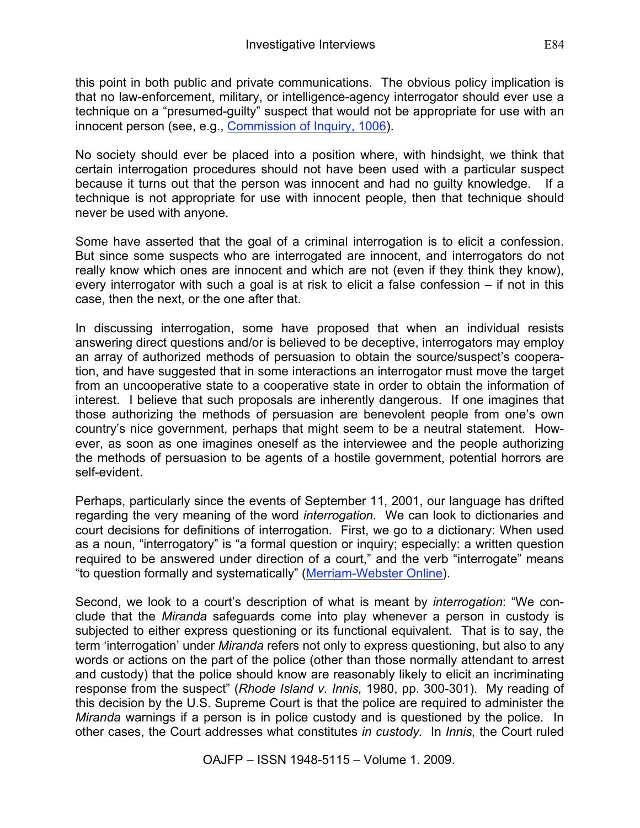this point in both public and private communications. The obvious policy implication is that no law-enforcement, military, or intelligence-agency interrogator should ever use a technique on a "presumed-guilty" suspect that would not be appropriate for use with an innocent person (see, e.g., Commission of Inquiry, 1006).

No society should ever be placed into a position where, with hindsight, we think that certain interrogation procedures should not have been used with a particular suspect because it turns out that the person was innocent and had no guilty knowledge. If a technique is not appropriate for use with innocent people, then that technique should never be used with anyone.

Some have asserted that the goal of a criminal interrogation is to elicit a confession. But since some suspects who are interrogated are innocent, and interrogators do not really know which ones are innocent and which are not (even if they think they know), every interrogator with such a goal is at risk to elicit a false confession – if not in this case, then the next, or the one after that.

In discussing interrogation, some have proposed that when an individual resists answering direct questions and/or is believed to be deceptive, interrogators may employ an array of authorized methods of persuasion to obtain the source/suspect's cooperation, and have suggested that in some interactions an interrogator must move the target from an uncooperative state to a cooperative state in order to obtain the information of interest. I believe that such proposals are inherently dangerous. If one imagines that those authorizing the methods of persuasion are benevolent people from one's own country's nice government, perhaps that might seem to be a neutral statement. However, as soon as one imagines oneself as the interviewee and the people authorizing the methods of persuasion to be agents of a hostile government, potential horrors are self-evident.

Perhaps, particularly since the events of September 11, 2001, our language has drifted regarding the very meaning of the word *interrogation.* We can look to dictionaries and court decisions for definitions of interrogation. First, we go to a dictionary: When used as a noun, "interrogatory" is "a formal question or inquiry; especially: a written question required to be answered under direction of a court," and the verb "interrogate" means "to question formally and systematically" (Merriam-Webster Online).

Second, we look to a court's description of what is meant by *interrogation*: "We conclude that the *Miranda* safeguards come into play whenever a person in custody is subjected to either express questioning or its functional equivalent. That is to say, the term 'interrogation' under *Miranda* refers not only to express questioning, but also to any words or actions on the part of the police (other than those normally attendant to arrest and custody) that the police should know are reasonably likely to elicit an incriminating response from the suspect" (*Rhode Island v. Innis,* 1980, pp. 300-301). My reading of this decision by the U.S. Supreme Court is that the police are required to administer the *Miranda* warnings if a person is in police custody and is questioned by the police. In other cases, the Court addresses what constitutes *in custody.* In *Innis,* the Court ruled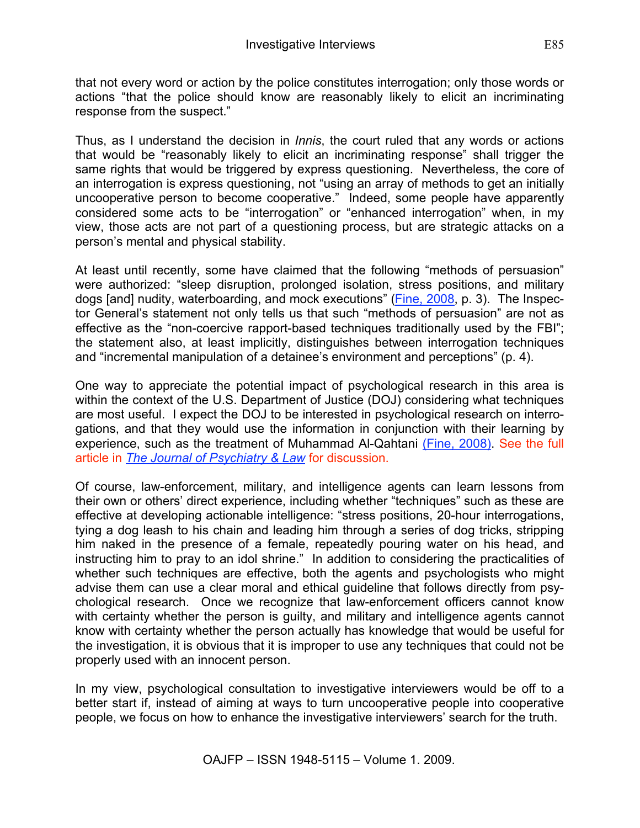that not every word or action by the police constitutes interrogation; only those words or actions "that the police should know are reasonably likely to elicit an incriminating response from the suspect."

Thus, as I understand the decision in *Innis*, the court ruled that any words or actions that would be "reasonably likely to elicit an incriminating response" shall trigger the same rights that would be triggered by express questioning. Nevertheless, the core of an interrogation is express questioning, not "using an array of methods to get an initially uncooperative person to become cooperative." Indeed, some people have apparently considered some acts to be "interrogation" or "enhanced interrogation" when, in my view, those acts are not part of a questioning process, but are strategic attacks on a person's mental and physical stability.

At least until recently, some have claimed that the following "methods of persuasion" were authorized: "sleep disruption, prolonged isolation, stress positions, and military dogs [and] nudity, waterboarding, and mock executions" (Fine, 2008, p. 3). The Inspector General's statement not only tells us that such "methods of persuasion" are not as effective as the "non-coercive rapport-based techniques traditionally used by the FBI"; the statement also, at least implicitly, distinguishes between interrogation techniques and "incremental manipulation of a detainee's environment and perceptions" (p. 4).

One way to appreciate the potential impact of psychological research in this area is within the context of the U.S. Department of Justice (DOJ) considering what techniques are most useful. I expect the DOJ to be interested in psychological research on interrogations, and that they would use the information in conjunction with their learning by experience, such as the treatment of Muhammad Al-Qahtani (Fine, 2008). See the full article in *The Journal of Psychiatry & Law* for discussion.

Of course, law-enforcement, military, and intelligence agents can learn lessons from their own or others' direct experience, including whether "techniques" such as these are effective at developing actionable intelligence: "stress positions, 20-hour interrogations, tying a dog leash to his chain and leading him through a series of dog tricks, stripping him naked in the presence of a female, repeatedly pouring water on his head, and instructing him to pray to an idol shrine." In addition to considering the practicalities of whether such techniques are effective, both the agents and psychologists who might advise them can use a clear moral and ethical guideline that follows directly from psychological research. Once we recognize that law-enforcement officers cannot know with certainty whether the person is guilty, and military and intelligence agents cannot know with certainty whether the person actually has knowledge that would be useful for the investigation, it is obvious that it is improper to use any techniques that could not be properly used with an innocent person.

In my view, psychological consultation to investigative interviewers would be off to a better start if, instead of aiming at ways to turn uncooperative people into cooperative people, we focus on how to enhance the investigative interviewers' search for the truth.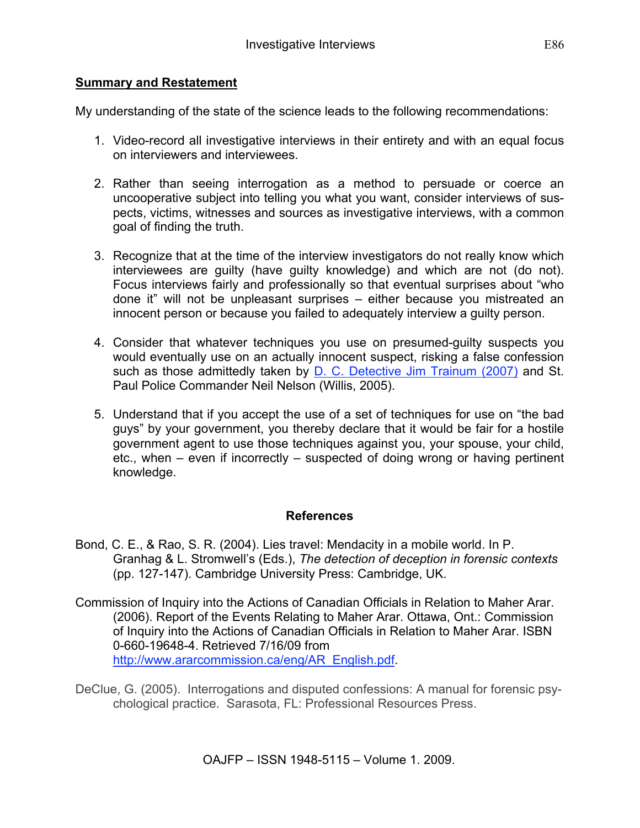### **Summary and Restatement**

My understanding of the state of the science leads to the following recommendations:

- 1. Video-record all investigative interviews in their entirety and with an equal focus on interviewers and interviewees.
- 2. Rather than seeing interrogation as a method to persuade or coerce an uncooperative subject into telling you what you want, consider interviews of suspects, victims, witnesses and sources as investigative interviews, with a common goal of finding the truth.
- 3. Recognize that at the time of the interview investigators do not really know which interviewees are guilty (have guilty knowledge) and which are not (do not). Focus interviews fairly and professionally so that eventual surprises about "who done it" will not be unpleasant surprises – either because you mistreated an innocent person or because you failed to adequately interview a guilty person.
- 4. Consider that whatever techniques you use on presumed-guilty suspects you would eventually use on an actually innocent suspect, risking a false confession such as those admittedly taken by D. C. Detective Jim Trainum (2007) and St. Paul Police Commander Neil Nelson (Willis, 2005).
- 5. Understand that if you accept the use of a set of techniques for use on "the bad guys" by your government, you thereby declare that it would be fair for a hostile government agent to use those techniques against you, your spouse, your child, etc., when – even if incorrectly – suspected of doing wrong or having pertinent knowledge.

#### **References**

- Bond, C. E., & Rao, S. R. (2004). Lies travel: Mendacity in a mobile world. In P. Granhag & L. Stromwell's (Eds.), *The detection of deception in forensic contexts* (pp. 127-147). Cambridge University Press: Cambridge, UK.
- Commission of Inquiry into the Actions of Canadian Officials in Relation to Maher Arar. (2006). Report of the Events Relating to Maher Arar. Ottawa, Ont.: Commission of Inquiry into the Actions of Canadian Officials in Relation to Maher Arar. ISBN 0-660-19648-4. Retrieved 7/16/09 from http://www.ararcommission.ca/eng/AR\_English.pdf.
- DeClue, G. (2005). Interrogations and disputed confessions: A manual for forensic psychological practice. Sarasota, FL: Professional Resources Press.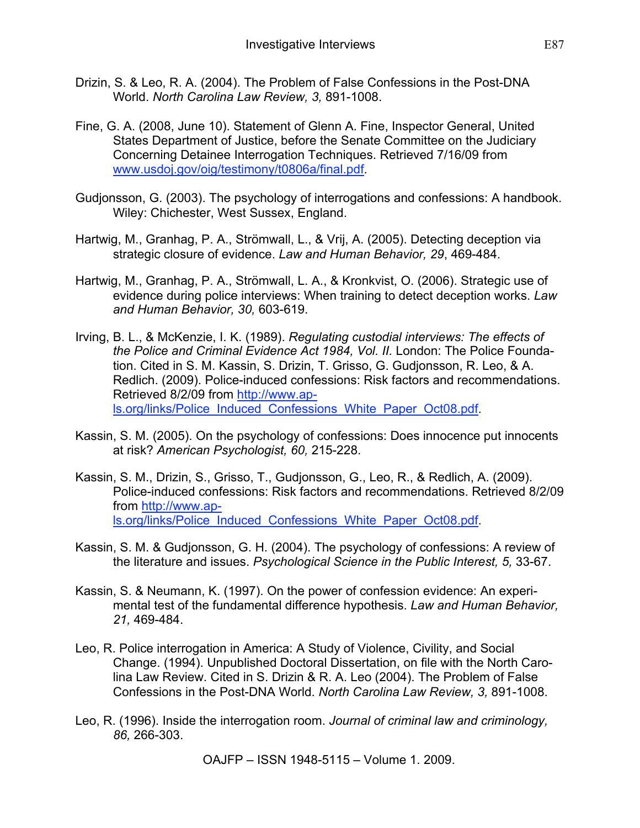- Drizin, S. & Leo, R. A. (2004). The Problem of False Confessions in the Post-DNA World. *North Carolina Law Review, 3,* 891-1008.
- Fine, G. A. (2008, June 10). Statement of Glenn A. Fine, Inspector General, United States Department of Justice, before the Senate Committee on the Judiciary Concerning Detainee Interrogation Techniques. Retrieved 7/16/09 from www.usdoj.gov/oig/testimony/t0806a/final.pdf.
- Gudjonsson, G. (2003). The psychology of interrogations and confessions: A handbook. Wiley: Chichester, West Sussex, England.
- Hartwig, M., Granhag, P. A., Strömwall, L., & Vrij, A. (2005). Detecting deception via strategic closure of evidence. *Law and Human Behavior, 29*, 469-484.
- Hartwig, M., Granhag, P. A., Strömwall, L. A., & Kronkvist, O. (2006). Strategic use of evidence during police interviews: When training to detect deception works. *Law and Human Behavior, 30,* 603-619.
- Irving, B. L., & McKenzie, I. K. (1989). *Regulating custodial interviews: The effects of the Police and Criminal Evidence Act 1984, Vol. II.* London: The Police Foundation. Cited in S. M. Kassin, S. Drizin, T. Grisso, G. Gudjonsson, R. Leo, & A. Redlich. (2009). Police-induced confessions: Risk factors and recommendations. Retrieved 8/2/09 from http://www.apls.org/links/Police\_Induced\_Confessions\_White\_Paper\_Oct08.pdf.
- Kassin, S. M. (2005). On the psychology of confessions: Does innocence put innocents at risk? *American Psychologist, 60,* 215-228.
- Kassin, S. M., Drizin, S., Grisso, T., Gudjonsson, G., Leo, R., & Redlich, A. (2009). Police-induced confessions: Risk factors and recommendations. Retrieved 8/2/09 from http://www.apls.org/links/Police\_Induced\_Confessions\_White\_Paper\_Oct08.pdf.
- Kassin, S. M. & Gudjonsson, G. H. (2004). The psychology of confessions: A review of the literature and issues. *Psychological Science in the Public Interest, 5,* 33-67.
- Kassin, S. & Neumann, K. (1997). On the power of confession evidence: An experimental test of the fundamental difference hypothesis. *Law and Human Behavior, 21,* 469-484.
- Leo, R. Police interrogation in America: A Study of Violence, Civility, and Social Change. (1994). Unpublished Doctoral Dissertation, on file with the North Carolina Law Review. Cited in S. Drizin & R. A. Leo (2004). The Problem of False Confessions in the Post-DNA World. *North Carolina Law Review, 3,* 891-1008.
- Leo, R. (1996). Inside the interrogation room. *Journal of criminal law and criminology, 86,* 266-303.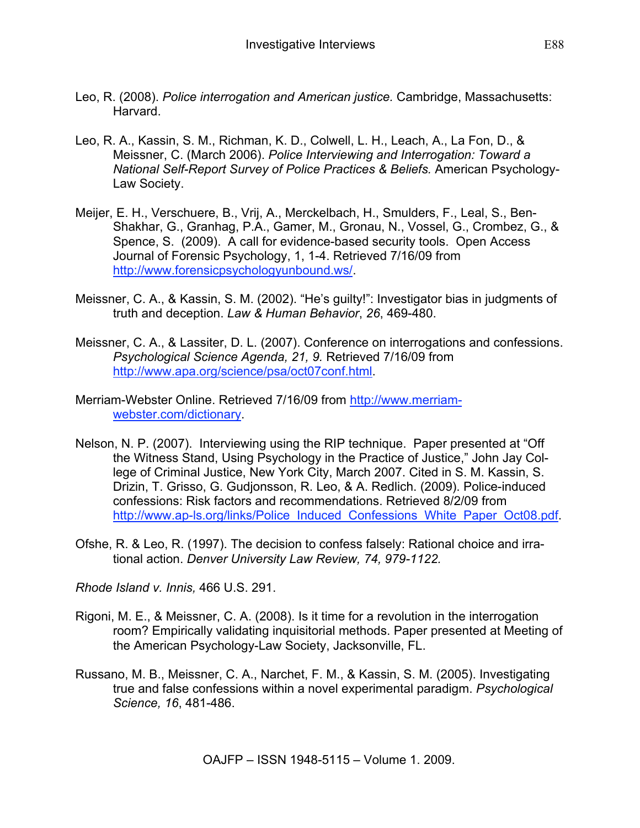- Leo, R. (2008). *Police interrogation and American justice.* Cambridge, Massachusetts: Harvard.
- Leo, R. A., Kassin, S. M., Richman, K. D., Colwell, L. H., Leach, A., La Fon, D., & Meissner, C. (March 2006). *Police Interviewing and Interrogation: Toward a National Self-Report Survey of Police Practices & Beliefs.* American Psychology-Law Society.
- Meijer, E. H., Verschuere, B., Vrij, A., Merckelbach, H., Smulders, F., Leal, S., Ben-Shakhar, G., Granhag, P.A., Gamer, M., Gronau, N., Vossel, G., Crombez, G., & Spence, S. (2009). A call for evidence-based security tools. Open Access Journal of Forensic Psychology, 1, 1-4. Retrieved 7/16/09 from http://www.forensicpsychologyunbound.ws/.
- Meissner, C. A., & Kassin, S. M. (2002). "He's guilty!": Investigator bias in judgments of truth and deception. *Law & Human Behavior*, *26*, 469-480.
- Meissner, C. A., & Lassiter, D. L. (2007). Conference on interrogations and confessions. *Psychological Science Agenda, 21, 9.* Retrieved 7/16/09 from http://www.apa.org/science/psa/oct07conf.html.
- Merriam-Webster Online. Retrieved 7/16/09 from http://www.merriamwebster.com/dictionary.
- Nelson, N. P. (2007). Interviewing using the RIP technique. Paper presented at "Off the Witness Stand, Using Psychology in the Practice of Justice," John Jay College of Criminal Justice, New York City, March 2007. Cited in S. M. Kassin, S. Drizin, T. Grisso, G. Gudjonsson, R. Leo, & A. Redlich. (2009). Police-induced confessions: Risk factors and recommendations. Retrieved 8/2/09 from http://www.ap-ls.org/links/Police\_Induced\_Confessions\_White\_Paper\_Oct08.pdf
- Ofshe, R. & Leo, R. (1997). The decision to confess falsely: Rational choice and irrational action. *Denver University Law Review, 74, 979-1122.*

*Rhode Island v. Innis,* 466 U.S. 291.

- Rigoni, M. E., & Meissner, C. A. (2008). Is it time for a revolution in the interrogation room? Empirically validating inquisitorial methods. Paper presented at Meeting of the American Psychology-Law Society, Jacksonville, FL.
- Russano, M. B., Meissner, C. A., Narchet, F. M., & Kassin, S. M. (2005). Investigating true and false confessions within a novel experimental paradigm. *Psychological Science, 16*, 481-486.